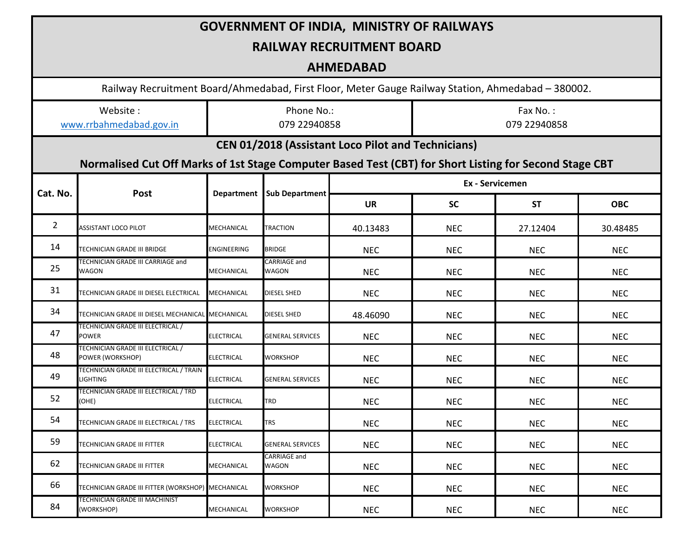| <b>GOVERNMENT OF INDIA, MINISTRY OF RAILWAYS</b>                                                                                                                    |                                                            |                            |                              |                 |                          |            |            |  |  |  |  |  |
|---------------------------------------------------------------------------------------------------------------------------------------------------------------------|------------------------------------------------------------|----------------------------|------------------------------|-----------------|--------------------------|------------|------------|--|--|--|--|--|
| <b>RAILWAY RECRUITMENT BOARD</b>                                                                                                                                    |                                                            |                            |                              |                 |                          |            |            |  |  |  |  |  |
| <b>AHMEDABAD</b>                                                                                                                                                    |                                                            |                            |                              |                 |                          |            |            |  |  |  |  |  |
| Railway Recruitment Board/Ahmedabad, First Floor, Meter Gauge Railway Station, Ahmedabad - 380002.                                                                  |                                                            |                            |                              |                 |                          |            |            |  |  |  |  |  |
| Website:<br>www.rrbahmedabad.gov.in                                                                                                                                 |                                                            | Phone No.:<br>079 22940858 |                              |                 | Fax No.:<br>079 22940858 |            |            |  |  |  |  |  |
| <b>CEN 01/2018 (Assistant Loco Pilot and Technicians)</b><br>Normalised Cut Off Marks of 1st Stage Computer Based Test (CBT) for Short Listing for Second Stage CBT |                                                            |                            |                              |                 |                          |            |            |  |  |  |  |  |
|                                                                                                                                                                     | Post                                                       | <b>Department</b>          | Sub Department               | Ex - Servicemen |                          |            |            |  |  |  |  |  |
| Cat. No.                                                                                                                                                            |                                                            |                            |                              | <b>UR</b>       | <b>SC</b>                | <b>ST</b>  | <b>OBC</b> |  |  |  |  |  |
| $\mathbf{2}$                                                                                                                                                        | <b>ASSISTANT LOCO PILOT</b>                                | MECHANICAL                 | <b>TRACTION</b>              | 40.13483        | <b>NEC</b>               | 27.12404   | 30.48485   |  |  |  |  |  |
| 14                                                                                                                                                                  | TECHNICIAN GRADE III BRIDGE                                | ENGINEERING                | <b>BRIDGE</b>                | <b>NEC</b>      | <b>NEC</b>               | <b>NEC</b> | <b>NEC</b> |  |  |  |  |  |
| 25                                                                                                                                                                  | TECHNICIAN GRADE III CARRIAGE and<br><b>WAGON</b>          | MECHANICAL                 | <b>CARRIAGE and</b><br>WAGON | <b>NEC</b>      | <b>NEC</b>               | <b>NEC</b> | <b>NEC</b> |  |  |  |  |  |
| 31                                                                                                                                                                  | TECHNICIAN GRADE III DIESEL ELECTRICAL                     | MECHANICAL                 | <b>DIESEL SHED</b>           | <b>NEC</b>      | <b>NEC</b>               | <b>NEC</b> | <b>NEC</b> |  |  |  |  |  |
| 34                                                                                                                                                                  | TECHNICIAN GRADE III DIESEL MECHANICAL MECHANICAL          |                            | DIESEL SHED                  | 48.46090        | <b>NEC</b>               | <b>NEC</b> | <b>NEC</b> |  |  |  |  |  |
| 47                                                                                                                                                                  | TECHNICIAN GRADE III ELECTRICAL /<br><b>POWER</b>          | ELECTRICAL                 | <b>GENERAL SERVICES</b>      | <b>NEC</b>      | <b>NEC</b>               | <b>NEC</b> | <b>NEC</b> |  |  |  |  |  |
| 48                                                                                                                                                                  | TECHNICIAN GRADE III ELECTRICAL /<br>POWER (WORKSHOP)      | <b>ELECTRICAL</b>          | WORKSHOP                     | <b>NEC</b>      | <b>NEC</b>               | <b>NEC</b> | <b>NEC</b> |  |  |  |  |  |
| 49                                                                                                                                                                  | TECHNICIAN GRADE III ELECTRICAL / TRAIN<br><b>LIGHTING</b> | <b>ELECTRICAL</b>          | <b>GENERAL SERVICES</b>      | <b>NEC</b>      | <b>NEC</b>               | <b>NEC</b> | <b>NEC</b> |  |  |  |  |  |
| 52                                                                                                                                                                  | TECHNICIAN GRADE III ELECTRICAL / TRD<br>(OHE)             | <b>ELECTRICAL</b>          | TRD                          | <b>NEC</b>      | <b>NEC</b>               | <b>NEC</b> | <b>NEC</b> |  |  |  |  |  |
| 54                                                                                                                                                                  | TECHNICIAN GRADE III ELECTRICAL / TRS                      | <b>ELECTRICAL</b>          | TRS                          | <b>NEC</b>      | <b>NEC</b>               | <b>NEC</b> | <b>NEC</b> |  |  |  |  |  |
| 59                                                                                                                                                                  | TECHNICIAN GRADE III FITTER                                | <b>ELECTRICAL</b>          | <b>GENERAL SERVICES</b>      | <b>NEC</b>      | <b>NEC</b>               | <b>NEC</b> | <b>NEC</b> |  |  |  |  |  |
| 62                                                                                                                                                                  | TECHNICIAN GRADE III FITTER                                | MECHANICAL                 | CARRIAGE and<br>WAGON        | <b>NEC</b>      | <b>NEC</b>               | <b>NEC</b> | <b>NEC</b> |  |  |  |  |  |
| 66                                                                                                                                                                  | TECHNICIAN GRADE III FITTER (WORKSHOP) MECHANICAL          |                            | WORKSHOP                     | <b>NEC</b>      | <b>NEC</b>               | <b>NEC</b> | <b>NEC</b> |  |  |  |  |  |
| 84                                                                                                                                                                  | <b>TECHNICIAN GRADE III MACHINIST</b><br>(WORKSHOP)        | MECHANICAL                 | WORKSHOP                     | <b>NEC</b>      | <b>NEC</b>               | <b>NEC</b> | <b>NEC</b> |  |  |  |  |  |